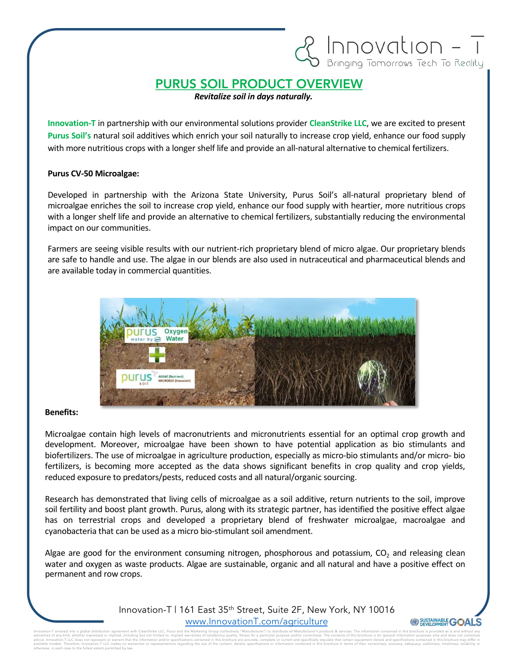$R$  Innovation  $-1$ <br>Bringing Tomorrows Tech To Reality

*Revitalize soil in days naturally.*

**Innovation-T** in partnership with our environmental solutions provider **CleanStrike LLC**, we are excited to present **Purus Soil's** natural soil additives which enrich your soil naturally to increase crop yield, enhance our food supply with more nutritious crops with a longer shelf life and provide an all-natural alternative to chemical fertilizers.

#### **Purus CV-50 Microalgae:**

Developed in partnership with the Arizona State University, Purus Soil's all-natural proprietary blend of microalgae enriches the soil to increase crop yield, enhance our food supply with heartier, more nutritious crops with a longer shelf life and provide an alternative to chemical fertilizers, substantially reducing the environmental impact on our communities.

Farmers are seeing visible results with our nutrient-rich proprietary blend of micro algae. Our proprietary blends are safe to handle and use. The algae in our blends are also used in nutraceutical and pharmaceutical blends and are available today in commercial quantities.



#### **Benefits:**

Microalgae contain high levels of macronutrients and micronutrients essential for an optimal crop growth and development. Moreover, microalgae have been shown to have potential application as bio stimulants and biofertilizers. The use of microalgae in agriculture production, especially as micro-bio stimulants and/or micro- bio fertilizers, is becoming more accepted as the data shows significant benefits in crop quality and crop yields, reduced exposure to predators/pests, reduced costs and all natural/organic sourcing.

Research has demonstrated that living cells of microalgae as a soil additive, return nutrients to the soil, improve soil fertility and boost plant growth. Purus, along with its strategic partner, has identified the positive effect algae has on terrestrial crops and developed a proprietary blend of freshwater microalgae, macroalgae and cyanobacteria that can be used as a micro bio-stimulant soil amendment.

Algae are good for the environment consuming nitrogen, phosphorous and potassium,  $CO<sub>2</sub>$  and releasing clean water and oxygen as waste products. Algae are sustainable, organic and all natural and have a positive effect on permanent and row crops.

> Innovation-T | 161 East 35th Street, Suite 2F, New York, NY 10016 [www.InnovationT.com/agricult](http://www.innovationt.com/agriculture)ure

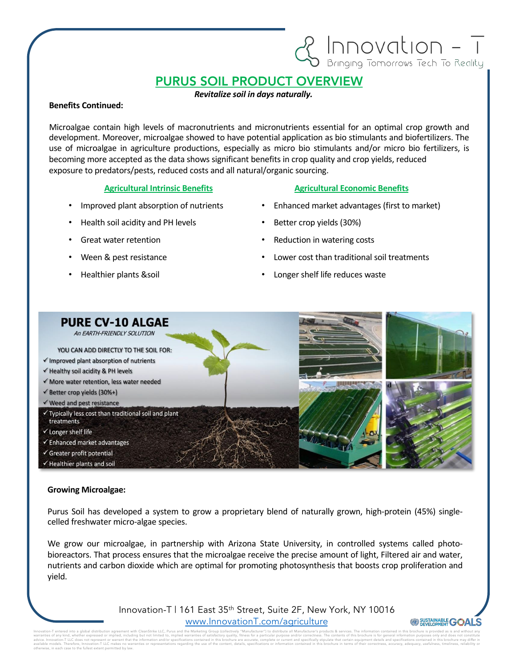*Revitalize soil in days naturally.*

#### **Benefits Continued:**

Microalgae contain high levels of macronutrients and micronutrients essential for an optimal crop growth and development. Moreover, microalgae showed to have potential application as bio stimulants and biofertilizers. The use of microalgae in agriculture productions, especially as micro bio stimulants and/or micro bio fertilizers, is becoming more accepted as the data shows significant benefits in crop quality and crop yields, reduced exposure to predators/pests, reduced costs and all natural/organic sourcing.

- 
- Health soil acidity and PH levels Better crop yields (30%)
- 
- 
- 

**Agricultural Intrinsic Benefits Agricultural Economic Benefits**

 $\&$  Innovation –  $\frac{1}{10}$ 

- Improved plant absorption of nutrients Enhanced market advantages (first to market)
	-
- Great water retention **•** Reduction **•** Reduction in watering costs
- Ween & pest resistance Lower cost than traditional soil treatments
- Healthier plants &soil Longer shelf life reduces waste



#### **Growing Microalgae:**

Purus Soil has developed a system to grow a proprietary blend of naturally grown, high-protein (45%) singlecelled freshwater micro-algae species.

We grow our microalgae, in partnership with Arizona State University, in controlled systems called photobioreactors. That process ensures that the microalgae receive the precise amount of light, Filtered air and water, nutrients and carbon dioxide which are optimal for promoting photosynthesis that boosts crop proliferation and yield.

> Innovation-T | 161 East 35th Street, Suite 2F, New York, NY 10016 [www.InnovationT.com/agricult](http://www.innovationt.com/agriculture)ure

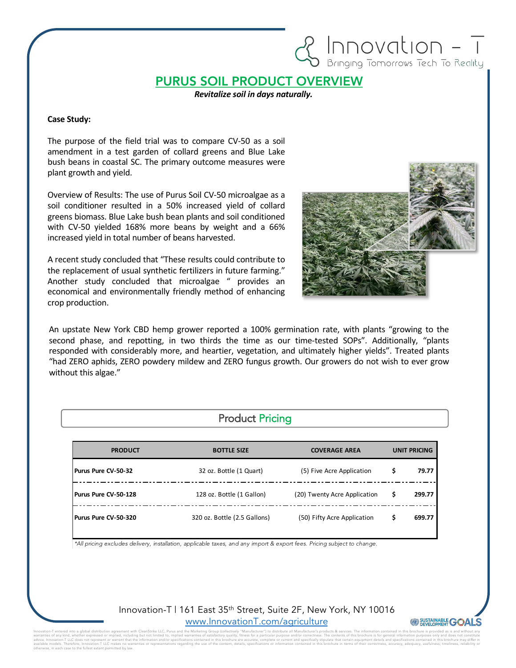*Revitalize soil in days naturally.*

#### **Case Study:**

The purpose of the field trial was to compare CV-50 as a soil amendment in a test garden of collard greens and Blue Lake bush beans in coastal SC. The primary outcome measures were plant growth and yield.

Overview of Results: The use of Purus Soil CV-50 microalgae as a soil conditioner resulted in a 50% increased yield of collard greens biomass. Blue Lake bush bean plants and soil conditioned with CV-50 yielded 168% more beans by weight and a 66% increased yield in total number of beans harvested.

A recent study concluded that "These results could contribute to the replacement of usual synthetic fertilizers in future farming." Another study concluded that microalgae " provides an economical and environmentally friendly method of enhancing crop production.



 $\bigotimes_{\text{Bringing Tomorrows}\ \overline{\text{Technorous}}}\ \overline{\text{I}}_{\text{Bending}}$ 

An upstate New York CBD hemp grower reported a 100% germination rate, with plants "growing to the second phase, and repotting, in two thirds the time as our time-tested SOPs". Additionally, "plants responded with considerably more, and heartier, vegetation, and ultimately higher yields". Treated plants "had ZERO aphids, ZERO powdery mildew and ZERO fungus growth. Our growers do not wish to ever grow without this algae."

### Product Pricing

| <b>PRODUCT</b>       | <b>BOTTLE SIZE</b>           | <b>COVERAGE AREA</b>         | UNIT PRICING |        |
|----------------------|------------------------------|------------------------------|--------------|--------|
| Purus Pure CV-50-32  | 32 oz. Bottle (1 Quart)      | (5) Five Acre Application    | \$           | 79.77  |
| Purus Pure CV-50-128 | 128 oz. Bottle (1 Gallon)    | (20) Twenty Acre Application | \$           | 299.77 |
| Purus Pure CV-50-320 | 320 oz. Bottle (2.5 Gallons) | (50) Fifty Acre Application  | S            | 699.77 |

*\*All pricing excludes delivery, installation, applicable taxes, and any import & export fees. Pricing subject to change.*

### Innovation-T | 161 East 35th Street, Suite 2F, New York, NY 10016 [www.InnovationT.com/agricult](http://www.innovationt.com/agriculture)ure

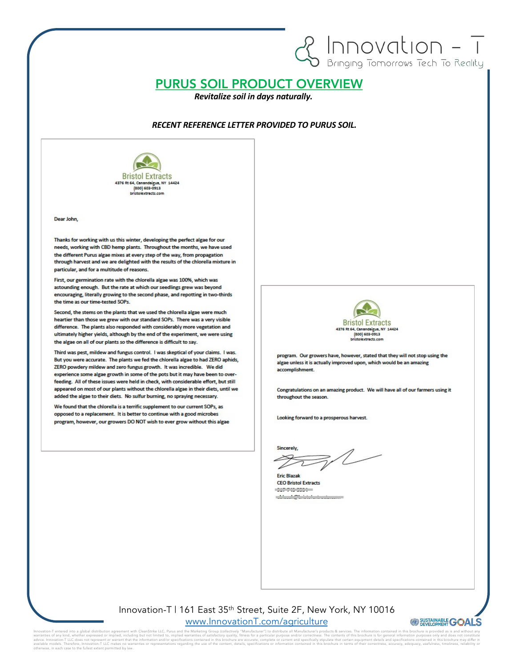*Revitalize soil in days naturally.*

#### *RECENT REFERENCE LETTER PROVIDED TO PURUS SOIL.*



Dear John.

Thanks for working with us this winter, developing the perfect algae for our needs, working with CBD hemp plants. Throughout the months, we have used the different Purus algae mixes at every step of the way, from propagation through harvest and we are delighted with the results of the chlorella mixture in particular, and for a multitude of reasons.

First, our germination rate with the chlorella algae was 100%, which was astounding enough. But the rate at which our seedlings grew was beyond encouraging, literally growing to the second phase, and repotting in two-thirds the time as our time-tested SOPs

Second, the stems on the plants that we used the chlorella algae were much heartier than those we grew with our standard SOPs. There was a very visible difference. The plants also responded with considerably more vegetation and ultimately higher yields, although by the end of the experiment, we were using the algae on all of our plants so the difference is difficult to say.

Third was pest, mildew and fungus control. I was skeptical of your claims. I was. But you were accurate. The plants we fed the chlorella algae to had ZERO aphids, ZERO powdery mildew and zero fungus growth. It was incredible. We did experience some algae growth in some of the pots but it may have been to overfeeding. All of these issues were held in check, with considerable effort, but still appeared on most of our plants without the chlorella algae in their diets, until we added the algae to their diets. No sulfur burning, no spraying necessary.

We found that the chlorella is a terrific supplement to our current SOPs, as opposed to a replacement. It is better to continue with a good microbes program, however, our growers DO NOT wish to ever grow without this algae



 $\alpha$  Innovation -  $\overline{a}$ <br>Bringing Tomorrows Tech To Reality

program. Our growers have, however, stated that they will not stop using the algae unless it is actually improved upon, which would be an amazing accomplishment.

Congratulations on an amazing product. We will have all of our farmers using it throughout the season.

Looking forward to a prosperous harvest.

Sincerely,

**Eric Blazak CEO Bristol Extracts** continued to the diam's state





 $\begin{tabular}{c|c|c|c|c} \hline \multicolumn{4}{c|c|c|c} \hline \multicolumn{4}{c|c|c} \hline \multicolumn{4}{c|c|c} \hline \multicolumn{4}{c|c|c} \hline \multicolumn{4}{c|c|c} \hline \multicolumn{4}{c|c|c} \hline \multicolumn{4}{c|c|c} \hline \multicolumn{4}{c|c|c} \hline \multicolumn{4}{c|c|c} \hline \multicolumn{4}{c|c|c} \hline \multicolumn{4}{c|c|c} \hline \multicolumn{4}{c|c|c} \hline \multicolumn{4}{$